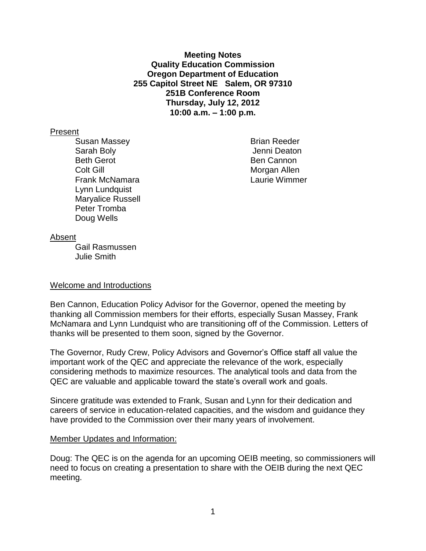**Meeting Notes Quality Education Commission Oregon Department of Education 255 Capitol Street NE Salem, OR 97310 251B Conference Room Thursday, July 12, 2012 10:00 a.m. – 1:00 p.m.**

### Present

Susan Massey **Brian Reeder** Sarah Boly **Sarah Boly Jenni Deaton** Beth Gerot **Ben Cannon Colt Gill** Morgan Allen Frank McNamara Laurie Wimmer Lynn Lundquist Maryalice Russell Peter Tromba Doug Wells

#### Absent

Gail Rasmussen Julie Smith

### Welcome and Introductions

Ben Cannon, Education Policy Advisor for the Governor, opened the meeting by thanking all Commission members for their efforts, especially Susan Massey, Frank McNamara and Lynn Lundquist who are transitioning off of the Commission. Letters of thanks will be presented to them soon, signed by the Governor.

The Governor, Rudy Crew, Policy Advisors and Governor's Office staff all value the important work of the QEC and appreciate the relevance of the work, especially considering methods to maximize resources. The analytical tools and data from the QEC are valuable and applicable toward the state's overall work and goals.

Sincere gratitude was extended to Frank, Susan and Lynn for their dedication and careers of service in education-related capacities, and the wisdom and guidance they have provided to the Commission over their many years of involvement.

### Member Updates and Information:

Doug: The QEC is on the agenda for an upcoming OEIB meeting, so commissioners will need to focus on creating a presentation to share with the OEIB during the next QEC meeting.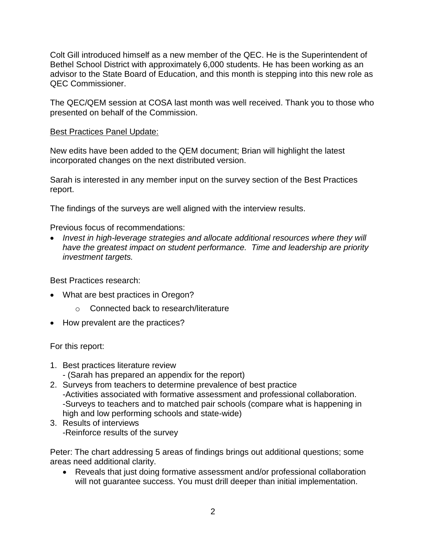Colt Gill introduced himself as a new member of the QEC. He is the Superintendent of Bethel School District with approximately 6,000 students. He has been working as an advisor to the State Board of Education, and this month is stepping into this new role as QEC Commissioner.

The QEC/QEM session at COSA last month was well received. Thank you to those who presented on behalf of the Commission.

## Best Practices Panel Update:

New edits have been added to the QEM document; Brian will highlight the latest incorporated changes on the next distributed version.

Sarah is interested in any member input on the survey section of the Best Practices report.

The findings of the surveys are well aligned with the interview results.

Previous focus of recommendations:

 *Invest in high-leverage strategies and allocate additional resources where they will have the greatest impact on student performance. Time and leadership are priority investment targets.*

Best Practices research:

- What are best practices in Oregon?
	- o Connected back to research/literature
- How prevalent are the practices?

For this report:

- 1. Best practices literature review
	- (Sarah has prepared an appendix for the report)
- 2. Surveys from teachers to determine prevalence of best practice -Activities associated with formative assessment and professional collaboration. -Surveys to teachers and to matched pair schools (compare what is happening in high and low performing schools and state-wide)
- 3. Results of interviews -Reinforce results of the survey

Peter: The chart addressing 5 areas of findings brings out additional questions; some areas need additional clarity.

 Reveals that just doing formative assessment and/or professional collaboration will not guarantee success. You must drill deeper than initial implementation.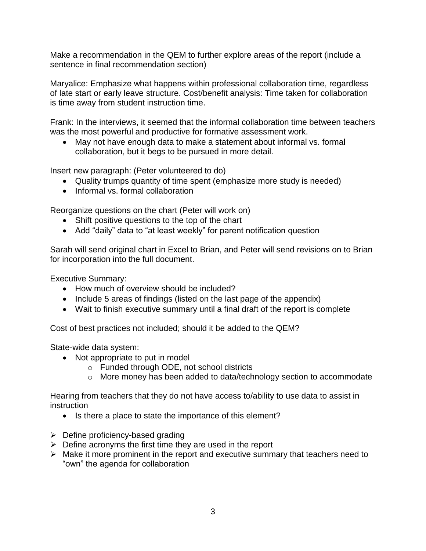Make a recommendation in the QEM to further explore areas of the report (include a sentence in final recommendation section)

Maryalice: Emphasize what happens within professional collaboration time, regardless of late start or early leave structure. Cost/benefit analysis: Time taken for collaboration is time away from student instruction time.

Frank: In the interviews, it seemed that the informal collaboration time between teachers was the most powerful and productive for formative assessment work.

 May not have enough data to make a statement about informal vs. formal collaboration, but it begs to be pursued in more detail.

Insert new paragraph: (Peter volunteered to do)

- Quality trumps quantity of time spent (emphasize more study is needed)
- Informal vs. formal collaboration

Reorganize questions on the chart (Peter will work on)

- Shift positive questions to the top of the chart
- Add "daily" data to "at least weekly" for parent notification question

Sarah will send original chart in Excel to Brian, and Peter will send revisions on to Brian for incorporation into the full document.

Executive Summary:

- How much of overview should be included?
- Include 5 areas of findings (listed on the last page of the appendix)
- Wait to finish executive summary until a final draft of the report is complete

Cost of best practices not included; should it be added to the QEM?

State-wide data system:

- Not appropriate to put in model
	- o Funded through ODE, not school districts
	- o More money has been added to data/technology section to accommodate

Hearing from teachers that they do not have access to/ability to use data to assist in instruction

- Is there a place to state the importance of this element?
- $\triangleright$  Define proficiency-based grading
- $\triangleright$  Define acronyms the first time they are used in the report
- $\triangleright$  Make it more prominent in the report and executive summary that teachers need to "own" the agenda for collaboration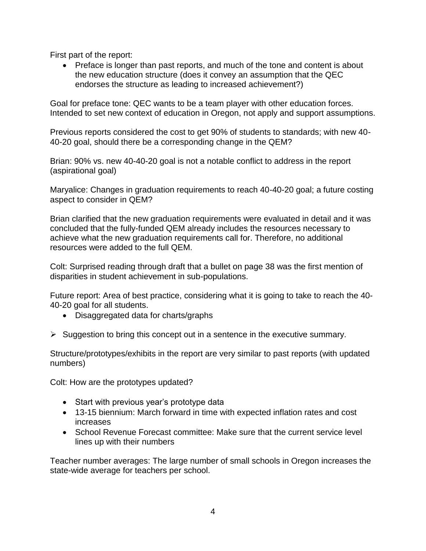First part of the report:

• Preface is longer than past reports, and much of the tone and content is about the new education structure (does it convey an assumption that the QEC endorses the structure as leading to increased achievement?)

Goal for preface tone: QEC wants to be a team player with other education forces. Intended to set new context of education in Oregon, not apply and support assumptions.

Previous reports considered the cost to get 90% of students to standards; with new 40- 40-20 goal, should there be a corresponding change in the QEM?

Brian: 90% vs. new 40-40-20 goal is not a notable conflict to address in the report (aspirational goal)

Maryalice: Changes in graduation requirements to reach 40-40-20 goal; a future costing aspect to consider in QEM?

Brian clarified that the new graduation requirements were evaluated in detail and it was concluded that the fully-funded QEM already includes the resources necessary to achieve what the new graduation requirements call for. Therefore, no additional resources were added to the full QEM.

Colt: Surprised reading through draft that a bullet on page 38 was the first mention of disparities in student achievement in sub-populations.

Future report: Area of best practice, considering what it is going to take to reach the 40- 40-20 goal for all students.

- Disaggregated data for charts/graphs
- $\triangleright$  Suggestion to bring this concept out in a sentence in the executive summary.

Structure/prototypes/exhibits in the report are very similar to past reports (with updated numbers)

Colt: How are the prototypes updated?

- Start with previous year's prototype data
- 13-15 biennium: March forward in time with expected inflation rates and cost increases
- School Revenue Forecast committee: Make sure that the current service level lines up with their numbers

Teacher number averages: The large number of small schools in Oregon increases the state-wide average for teachers per school.